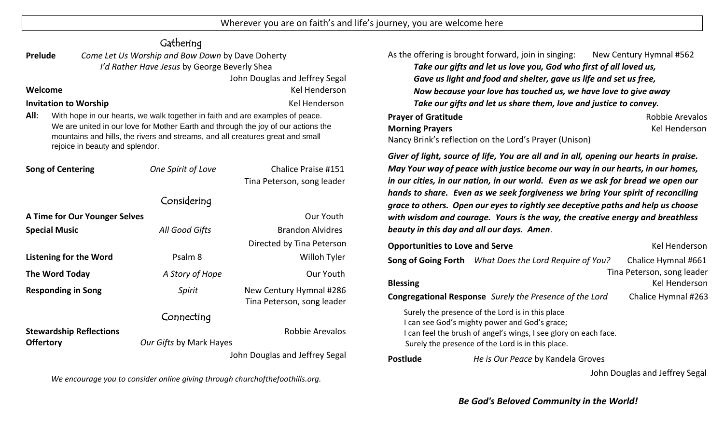Wherever you are on faith's and life's journey, you are welcome here

| Gathering                                                                                                                                                                                                                                                                                       |                                                                              |                                                       |                                                                                                                                                                                                                                                      |                                                         |                                             |
|-------------------------------------------------------------------------------------------------------------------------------------------------------------------------------------------------------------------------------------------------------------------------------------------------|------------------------------------------------------------------------------|-------------------------------------------------------|------------------------------------------------------------------------------------------------------------------------------------------------------------------------------------------------------------------------------------------------------|---------------------------------------------------------|---------------------------------------------|
| Come Let Us Worship and Bow Down by Dave Doherty<br>Prelude<br>I'd Rather Have Jesus by George Beverly Shea<br>John Douglas and Jeffrey Segal                                                                                                                                                   |                                                                              |                                                       |                                                                                                                                                                                                                                                      | As the offering is brought forward, join in singing:    | New Century Hymnal #562                     |
|                                                                                                                                                                                                                                                                                                 |                                                                              |                                                       | Take our gifts and let us love you, God who first of all loved us,<br>Gave us light and food and shelter, gave us life and set us free,                                                                                                              |                                                         |                                             |
|                                                                                                                                                                                                                                                                                                 |                                                                              |                                                       |                                                                                                                                                                                                                                                      |                                                         |                                             |
| <b>Invitation to Worship</b><br><b>Kel Henderson</b>                                                                                                                                                                                                                                            |                                                                              |                                                       | Take our gifts and let us share them, love and justice to convey.                                                                                                                                                                                    |                                                         |                                             |
| All:<br>With hope in our hearts, we walk together in faith and are examples of peace.<br>We are united in our love for Mother Earth and through the joy of our actions the<br>mountains and hills, the rivers and streams, and all creatures great and small<br>rejoice in beauty and splendor. |                                                                              |                                                       | <b>Prayer of Gratitude</b><br><b>Morning Prayers</b><br>Nancy Brink's reflection on the Lord's Prayer (Unison)                                                                                                                                       |                                                         | <b>Robbie Arevalos</b><br>Kel Henderson     |
| <b>Song of Centering</b>                                                                                                                                                                                                                                                                        | One Spirit of Love                                                           | <b>Chalice Praise #151</b>                            | Giver of light, source of life, You are all and in all, opening our hearts in praise.<br>May Your way of peace with justice become our way in our hearts, in our homes,                                                                              |                                                         |                                             |
|                                                                                                                                                                                                                                                                                                 | Tina Peterson, song leader                                                   |                                                       | in our cities, in our nation, in our world. Even as we ask for bread we open our                                                                                                                                                                     |                                                         |                                             |
| Considering                                                                                                                                                                                                                                                                                     |                                                                              |                                                       | hands to share. Even as we seek forgiveness we bring Your spirit of reconciling<br>grace to others. Open our eyes to rightly see deceptive paths and help us choose<br>with wisdom and courage. Yours is the way, the creative energy and breathless |                                                         |                                             |
| A Time for Our Younger Selves<br>Our Youth                                                                                                                                                                                                                                                      |                                                                              |                                                       |                                                                                                                                                                                                                                                      |                                                         |                                             |
| <b>Special Music</b>                                                                                                                                                                                                                                                                            | All Good Gifts                                                               | <b>Brandon Alvidres</b>                               | beauty in this day and all our days. Amen.                                                                                                                                                                                                           |                                                         |                                             |
|                                                                                                                                                                                                                                                                                                 |                                                                              | Directed by Tina Peterson                             | <b>Opportunities to Love and Serve</b>                                                                                                                                                                                                               |                                                         | Kel Henderson                               |
| <b>Listening for the Word</b>                                                                                                                                                                                                                                                                   | Psalm 8                                                                      | Willoh Tyler                                          |                                                                                                                                                                                                                                                      | Song of Going Forth What Does the Lord Require of You?  | Chalice Hymnal #661                         |
| The Word Today                                                                                                                                                                                                                                                                                  | A Story of Hope                                                              | Our Youth                                             | Tina Peterson, song leader                                                                                                                                                                                                                           |                                                         |                                             |
| <b>Responding in Song</b>                                                                                                                                                                                                                                                                       | Spirit                                                                       | New Century Hymnal #286<br>Tina Peterson, song leader | <b>Blessing</b>                                                                                                                                                                                                                                      | Congregational Response Surely the Presence of the Lord | <b>Kel Henderson</b><br>Chalice Hymnal #263 |
|                                                                                                                                                                                                                                                                                                 | Connecting                                                                   |                                                       | Surely the presence of the Lord is in this place<br>I can see God's mighty power and God's grace;<br>I can feel the brush of angel's wings, I see glory on each face.<br>Surely the presence of the Lord is in this place.                           |                                                         |                                             |
| <b>Stewardship Reflections</b><br><b>Offertory</b>                                                                                                                                                                                                                                              | Our Gifts by Mark Hayes                                                      | <b>Robbie Arevalos</b>                                |                                                                                                                                                                                                                                                      |                                                         |                                             |
|                                                                                                                                                                                                                                                                                                 | John Douglas and Jeffrey Segal                                               |                                                       | <b>Postlude</b>                                                                                                                                                                                                                                      | He is Our Peace by Kandela Groves                       |                                             |
|                                                                                                                                                                                                                                                                                                 | We encourage you to consider online giving through churchofthefoothills.org. |                                                       |                                                                                                                                                                                                                                                      |                                                         | John Douglas and Jeffrey Segal              |

*Be God's Beloved Community in the World!*